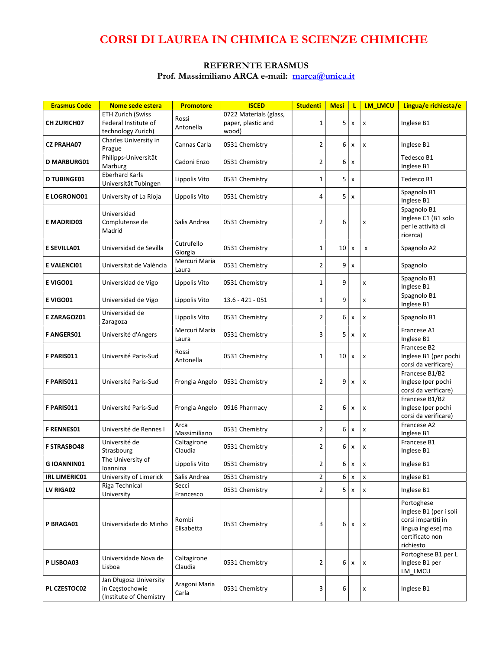# CORSI DI LAUREA IN CHIMICA E SCIENZE CHIMICHE

#### REFERENTE ERASMUS Prof. Massimiliano ARCA e-mail: marca@unica.it

| <b>Erasmus Code</b>  | Nome sede estera                                                       | <b>Promotore</b>       | <b>ISCED</b>                                          | <b>Studenti</b> | <b>Mesi</b>    | L                         | <b>LM LMCU</b>            | Lingua/e richiesta/e                                                                                             |
|----------------------|------------------------------------------------------------------------|------------------------|-------------------------------------------------------|-----------------|----------------|---------------------------|---------------------------|------------------------------------------------------------------------------------------------------------------|
| <b>CH ZURICH07</b>   | <b>ETH Zurich (Swiss</b><br>Federal Institute of<br>technology Zurich) | Rossi<br>Antonella     | 0722 Materials (glass,<br>paper, plastic and<br>wood) | $1\,$           | 5              | x                         | X                         | Inglese B1                                                                                                       |
| <b>CZ PRAHA07</b>    | Charles University in<br>Prague                                        | Cannas Carla           | 0531 Chemistry                                        | $\overline{2}$  | 6              | x                         | x                         | Inglese B1                                                                                                       |
| <b>D MARBURG01</b>   | Philipps-Universität<br>Marburg                                        | Cadoni Enzo            | 0531 Chemistry                                        | $\overline{2}$  | 6              | X                         |                           | Tedesco B1<br>Inglese B1                                                                                         |
| <b>D TUBINGE01</b>   | <b>Eberhard Karls</b><br>Universität Tubingen                          | Lippolis Vito          | 0531 Chemistry                                        | $\mathbf{1}$    | 5              | x                         |                           | Tedesco B1                                                                                                       |
| <b>E LOGRONO01</b>   | University of La Rioja                                                 | Lippolis Vito          | 0531 Chemistry                                        | 4               | 5              | x                         |                           | Spagnolo B1<br>Inglese B1                                                                                        |
| <b>E MADRID03</b>    | Universidad<br>Complutense de<br>Madrid                                | Salis Andrea           | 0531 Chemistry                                        | $\overline{2}$  | 6              |                           | X                         | Spagnolo B1<br>Inglese C1 (B1 solo<br>per le attività di<br>ricerca)                                             |
| <b>E SEVILLA01</b>   | Universidad de Sevilla                                                 | Cutrufello<br>Giorgia  | 0531 Chemistry                                        | 1               | 10             | $\boldsymbol{\mathsf{x}}$ | x                         | Spagnolo A2                                                                                                      |
| <b>E VALENCIO1</b>   | Universitat de València                                                | Mercuri Maria<br>Laura | 0531 Chemistry                                        | $\overline{2}$  | 9              | $\pmb{\times}$            |                           | Spagnolo                                                                                                         |
| E VIGO01             | Universidad de Vigo                                                    | Lippolis Vito          | 0531 Chemistry                                        | $\mathbf{1}$    | 9              |                           | x                         | Spagnolo B1<br>Inglese B1                                                                                        |
| E VIGO01             | Universidad de Vigo                                                    | Lippolis Vito          | $13.6 - 421 - 051$                                    | $\mathbf{1}$    | 9              |                           | x                         | Spagnolo B1<br>Inglese B1                                                                                        |
| E ZARAGOZ01          | Universidad de<br>Zaragoza                                             | Lippolis Vito          | 0531 Chemistry                                        | $\overline{2}$  | 6              | x                         | x                         | Spagnolo B1                                                                                                      |
| <b>F ANGERS01</b>    | Université d'Angers                                                    | Mercuri Maria<br>Laura | 0531 Chemistry                                        | 3               | 5              | x                         | X                         | Francese A1<br>Inglese B1                                                                                        |
| F PARIS011           | Université Paris-Sud                                                   | Rossi<br>Antonella     | 0531 Chemistry                                        | 1               | 10             | x                         | X                         | Francese B2<br>Inglese B1 (per pochi<br>corsi da verificare)                                                     |
| F PARIS011           | Université Paris-Sud                                                   | Frongia Angelo         | 0531 Chemistry                                        | $\overline{2}$  | 9              | x                         | x                         | Francese B1/B2<br>Inglese (per pochi<br>corsi da verificare)                                                     |
| F PARIS011           | Université Paris-Sud                                                   | Frongia Angelo         | 0916 Pharmacy                                         | $\overline{2}$  | 6              | x                         | X                         | Francese B1/B2<br>Inglese (per pochi<br>corsi da verificare)                                                     |
| <b>F RENNES01</b>    | Université de Rennes I                                                 | Arca<br>Massimiliano   | 0531 Chemistry                                        | $\overline{2}$  | 6              | x                         | $\boldsymbol{\mathsf{x}}$ | Francese A2<br>Inglese B1                                                                                        |
| <b>F STRASBO48</b>   | Université de<br>Strasbourg                                            | Caltagirone<br>Claudia | 0531 Chemistry                                        | $\overline{2}$  | 6              | X                         | X                         | Francese B1<br>Inglese B1                                                                                        |
| <b>GIOANNIN01</b>    | The University of<br>loannina                                          | Lippolis Vito          | 0531 Chemistry                                        | $\overline{2}$  | 6              | X                         | X                         | Inglese B1                                                                                                       |
| <b>IRL LIMERIC01</b> | University of Limerick                                                 | Salis Andrea           | 0531 Chemistry                                        | $\overline{2}$  | 6              | X                         | X                         | Inglese B1                                                                                                       |
| LV RIGA02            | Riga Technical<br>University                                           | Secci<br>Francesco     | 0531 Chemistry                                        | $\overline{2}$  | 5 <sub>1</sub> | X                         | X                         | Inglese B1                                                                                                       |
| P BRAGA01            | Universidade do Minho                                                  | Rombi<br>Elisabetta    | 0531 Chemistry                                        | 3               | 6 <sup>1</sup> | X                         | $\mathbf{x}$              | Portoghese<br>Inglese B1 (per i soli<br>corsi impartiti in<br>lingua inglese) ma<br>certificato non<br>richiesto |
| P LISBOA03           | Universidade Nova de<br>Lisboa                                         | Caltagirone<br>Claudia | 0531 Chemistry                                        | $\overline{2}$  | 6              | x                         | x                         | Portoghese B1 per L<br>Inglese B1 per<br>LM_LMCU                                                                 |
| PL CZESTOC02         | Jan Długosz University<br>in Częstochowie<br>(Institute of Chemistry   | Aragoni Maria<br>Carla | 0531 Chemistry                                        | 3               | 6              |                           | X                         | Inglese B1                                                                                                       |